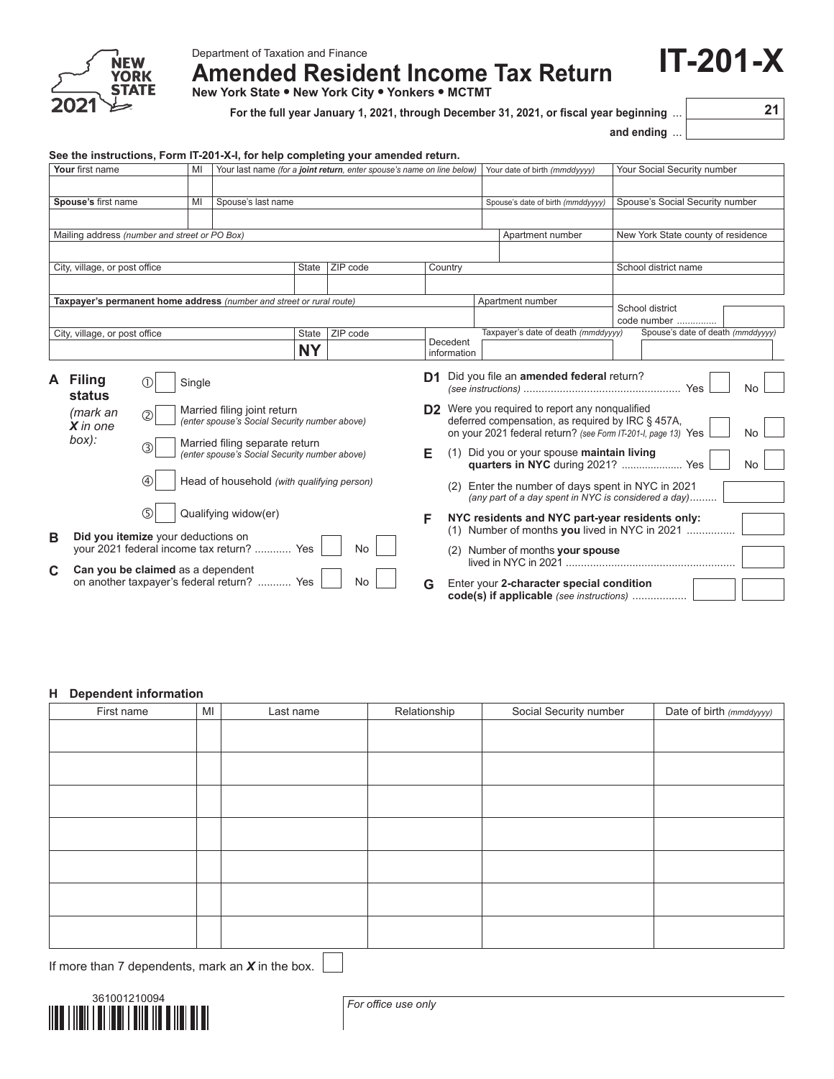

Department of Taxation and Finance

**Amended Resident Income Tax Return**

**New York State • New York City • Yonkers • MCTMT**

**For the full year January 1, 2021, through December 31, 2021, or fiscal year beginning** ... **21**

**and ending** ...

*(any part of a day spent in NYC is considered a day)*.........

**F NYC residents and NYC part-year residents only:** (1) Number of months you lived in NYC in 2021 ....

(2) Number of months **your spouse** lived in NYC in 2021 .................... **G** Enter your **2-character special condition code(s) if applicable** *(see instructions)* ..................

**IT-201-X**

| See the instructions, Form IT-201-X-I, for help completing your amended return. |                                                                                      |        |                                                                              |           |          |                                                                                 |                                                 |                                                                                                                    |                      |                                    |     |
|---------------------------------------------------------------------------------|--------------------------------------------------------------------------------------|--------|------------------------------------------------------------------------------|-----------|----------|---------------------------------------------------------------------------------|-------------------------------------------------|--------------------------------------------------------------------------------------------------------------------|----------------------|------------------------------------|-----|
| Your first name                                                                 |                                                                                      | MI     | Your last name (for a joint return, enter spouse's name on line below)       |           |          |                                                                                 |                                                 | Your date of birth (mmddyyyy)                                                                                      |                      | Your Social Security number        |     |
|                                                                                 |                                                                                      |        |                                                                              |           |          |                                                                                 |                                                 |                                                                                                                    |                      |                                    |     |
| Spouse's first name                                                             |                                                                                      | MI     | Spouse's last name                                                           |           |          |                                                                                 |                                                 | Spouse's date of birth (mmddyyyy)                                                                                  |                      | Spouse's Social Security number    |     |
|                                                                                 |                                                                                      |        |                                                                              |           |          |                                                                                 |                                                 |                                                                                                                    |                      |                                    |     |
| Mailing address (number and street or PO Box)                                   |                                                                                      |        |                                                                              |           |          |                                                                                 |                                                 | Apartment number                                                                                                   |                      | New York State county of residence |     |
|                                                                                 |                                                                                      |        |                                                                              |           |          |                                                                                 |                                                 |                                                                                                                    |                      |                                    |     |
| City, village, or post office                                                   |                                                                                      |        |                                                                              | State     | ZIP code | Country                                                                         |                                                 |                                                                                                                    | School district name |                                    |     |
|                                                                                 |                                                                                      |        |                                                                              |           |          |                                                                                 |                                                 |                                                                                                                    |                      |                                    |     |
|                                                                                 |                                                                                      |        | Taxpayer's permanent home address (number and street or rural route)         |           |          |                                                                                 |                                                 | Apartment number                                                                                                   |                      | School district<br>code number     |     |
| City, village, or post office                                                   |                                                                                      |        |                                                                              | State     | ZIP code |                                                                                 |                                                 | Taxpayer's date of death (mmddyyyy)                                                                                |                      | Spouse's date of death (mmddyyyy)  |     |
|                                                                                 |                                                                                      |        |                                                                              | <b>NY</b> |          |                                                                                 | Decedent<br>information                         |                                                                                                                    |                      |                                    |     |
| A Filing<br>status                                                              | $\bigcirc$                                                                           | Single |                                                                              |           |          |                                                                                 | D1                                              | Did you file an amended federal return?                                                                            |                      | Yes                                | No. |
| (mark an<br>$X$ in one                                                          | (2)                                                                                  |        | Married filing joint return<br>(enter spouse's Social Security number above) |           |          |                                                                                 | D2 Were you required to report any nonqualified | deferred compensation, as required by IRC § 457A,<br>on your 2021 federal return? (see Form IT-201-I, page 13) Yes | No                   |                                    |     |
| box):                                                                           | Married filing separate return<br>③<br>(enter spouse's Social Security number above) |        |                                                                              | Е         |          | (1) Did you or your spouse maintain living<br>quarters in NYC during 2021?  Yes |                                                 |                                                                                                                    | No                   |                                    |     |
|                                                                                 | $\circled{4}$                                                                        |        | Head of household (with qualifying person)                                   |           |          |                                                                                 |                                                 | (2) Enter the number of days spent in NYC in 2021                                                                  |                      |                                    |     |

**B Did you itemize** your deductions on

**C Can you be claimed** as a dependent

Qualifying widow(er)

your 2021 federal income tax return? ............. Yes | | No

on another taxpayer's federal return? ............ Yes | | No

| <b>H</b> Dependent information |    |           |              |                        |                          |
|--------------------------------|----|-----------|--------------|------------------------|--------------------------|
| First name                     | MI | Last name | Relationship | Social Security number | Date of birth (mmddyyyy) |
|                                |    |           |              |                        |                          |
|                                |    |           |              |                        |                          |
|                                |    |           |              |                        |                          |
|                                |    |           |              |                        |                          |
|                                |    |           |              |                        |                          |
|                                |    |           |              |                        |                          |
|                                |    |           |              |                        |                          |
|                                |    |           |              |                        |                          |
|                                |    |           |              |                        |                          |
|                                |    |           |              |                        |                          |
|                                |    |           |              |                        |                          |
|                                |    |           |              |                        |                          |
|                                |    |           |              |                        |                          |
|                                |    |           |              |                        |                          |

If more than 7 dependents, mark an *X* in the box.



*For office use only*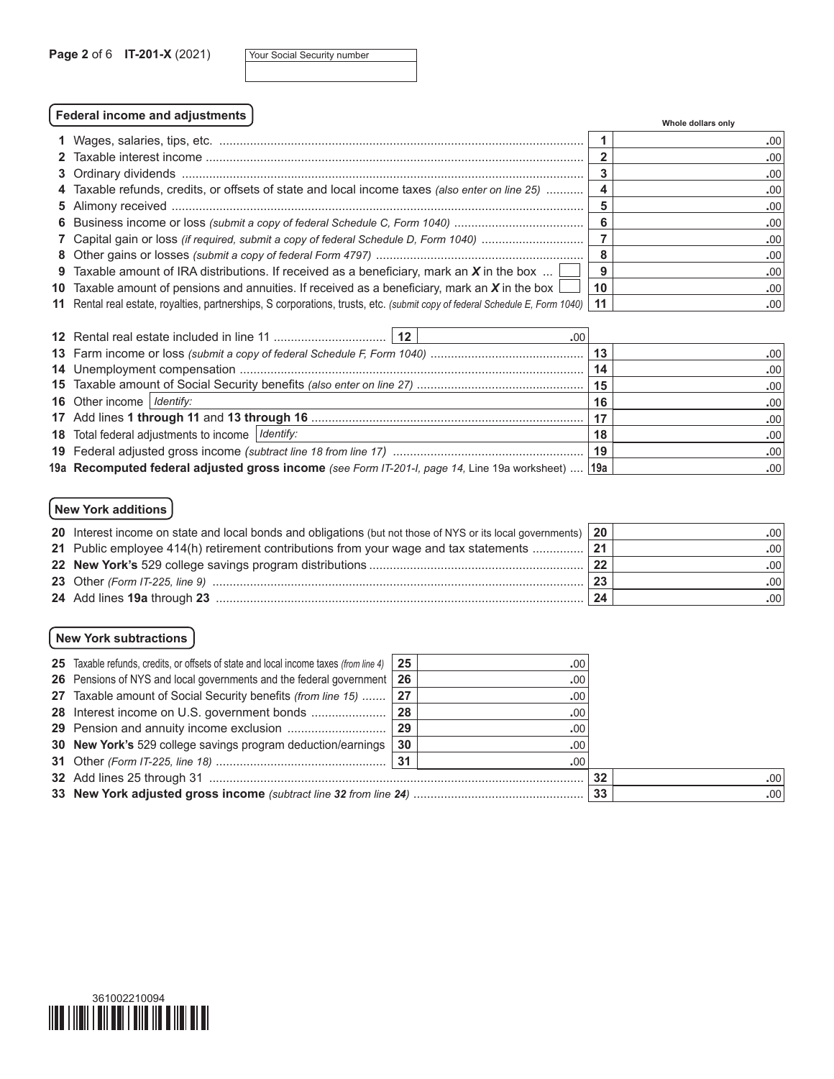| Your Social Security number |  |
|-----------------------------|--|
|-----------------------------|--|

# **Federal income and adjustments Whole dollars only**

|                                                                                                                                  |    | <b>VILLUIG GUILAIS UILLY</b> |
|----------------------------------------------------------------------------------------------------------------------------------|----|------------------------------|
|                                                                                                                                  |    | .001                         |
|                                                                                                                                  |    | .001                         |
|                                                                                                                                  |    | .001                         |
| 4 Taxable refunds, credits, or offsets of state and local income taxes (also enter on line 25)                                   |    | .00                          |
|                                                                                                                                  |    | .00 <sub>1</sub>             |
|                                                                                                                                  |    | .001                         |
| 7 Capital gain or loss (if required, submit a copy of federal Schedule D, Form 1040)                                             |    | .00                          |
|                                                                                                                                  |    | .001                         |
| 9 Taxable amount of IRA distributions. If received as a beneficiary, mark an $X$ in the box                                      | Q  | .00 <sub>1</sub>             |
| 10 Taxable amount of pensions and annuities. If received as a beneficiary, mark an X in the box $\lfloor$                        | 10 | .00                          |
| 11 Rental real estate, royalties, partnerships, S corporations, trusts, etc. (submit copy of federal Schedule E, Form 1040)   11 |    | .00                          |

|                                                                                                    | .00 |     |                  |
|----------------------------------------------------------------------------------------------------|-----|-----|------------------|
|                                                                                                    |     |     | .00              |
|                                                                                                    |     | 14  | .00 <sub>1</sub> |
|                                                                                                    |     |     | .00 <sub>1</sub> |
| <b>16</b> Other income   Identify:                                                                 |     | 16  | .00 <sub>1</sub> |
|                                                                                                    |     | .17 | .00.             |
| 18 Total federal adjustments to income   Identify:                                                 |     | 18  | .00              |
|                                                                                                    |     | 19  | .00.             |
| 19a Recomputed federal adjusted gross income (see Form IT-201-I, page 14, Line 19a worksheet)  19a |     |     | .00 <sub>1</sub> |

# **New York additions**

| 20 Interest income on state and local bonds and obligations (but not those of NYS or its local governments) 20 |                 | .00 <sub>1</sub> |
|----------------------------------------------------------------------------------------------------------------|-----------------|------------------|
| 21 Public employee 414(h) retirement contributions from your wage and tax statements                           | $\overline{21}$ | .00 <sub>1</sub> |
|                                                                                                                | 22              | .001             |
|                                                                                                                | 23              | .00 <sub>1</sub> |
|                                                                                                                | 24              | .00 <sub>1</sub> |

# **New York subtractions**

| 25 Taxable refunds, credits, or offsets of state and local income taxes (from line 4) | 25           | .00 <sub>1</sub> |    |                  |
|---------------------------------------------------------------------------------------|--------------|------------------|----|------------------|
| 26 Pensions of NYS and local governments and the federal government 26                |              | $.00 \cdot$      |    |                  |
| 27 Taxable amount of Social Security benefits (from line 15)  27                      |              | .00              |    |                  |
| 28 Interest income on U.S. government bonds                                           | 28           | .00              |    |                  |
| 29 Pension and annuity income exclusion                                               | $ 29\rangle$ | .00              |    |                  |
| 30 New York's 529 college savings program deduction/earnings                          | 30           | .00              |    |                  |
|                                                                                       |              | .00.             |    |                  |
|                                                                                       |              |                  | 32 | .001             |
|                                                                                       |              |                  |    | .00 <sub>1</sub> |

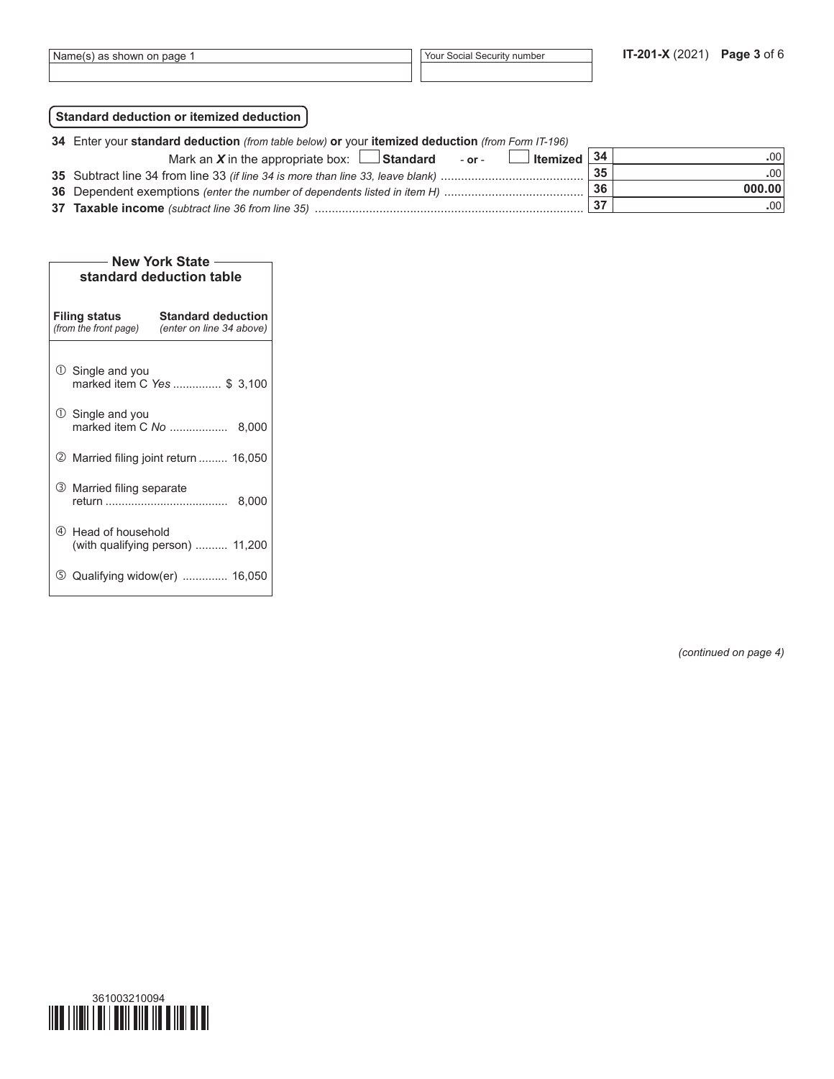# **Standard deduction or itemized deduction**

| 34 Enter your standard deduction (from table below) or your itemized deduction (from Form IT-196) |    |        |  |  |  |  |  |
|---------------------------------------------------------------------------------------------------|----|--------|--|--|--|--|--|
| $\Box$ Itemized $\vert$ 34<br>Mark an $X$ in the appropriate box: $\Box$ Standard - or -          |    | .00    |  |  |  |  |  |
|                                                                                                   | 35 | -00    |  |  |  |  |  |
|                                                                                                   | 36 | 000.00 |  |  |  |  |  |
|                                                                                                   |    | -00    |  |  |  |  |  |

| <b>New York State</b>                                                                                  |       |  |  |  |  |  |  |  |  |
|--------------------------------------------------------------------------------------------------------|-------|--|--|--|--|--|--|--|--|
| standard deduction table                                                                               |       |  |  |  |  |  |  |  |  |
|                                                                                                        |       |  |  |  |  |  |  |  |  |
| <b>Standard deduction</b><br><b>Filing status</b><br>(from the front page)<br>(enter on line 34 above) |       |  |  |  |  |  |  |  |  |
| $\mathbb O$ Single and you<br>marked item C Yes  \$ 3,100                                              |       |  |  |  |  |  |  |  |  |
| $\cup$ Single and you<br>marked item C No                                                              | 8,000 |  |  |  |  |  |  |  |  |
| <b>2</b> Married filing joint return  16,050                                                           |       |  |  |  |  |  |  |  |  |
| 3 Married filing separate                                                                              | 8,000 |  |  |  |  |  |  |  |  |
| 4 Head of household<br>(with qualifying person)  11,200                                                |       |  |  |  |  |  |  |  |  |
| Qualifying widow(er)  16,050<br>(5)                                                                    |       |  |  |  |  |  |  |  |  |

*(continued on page 4)*

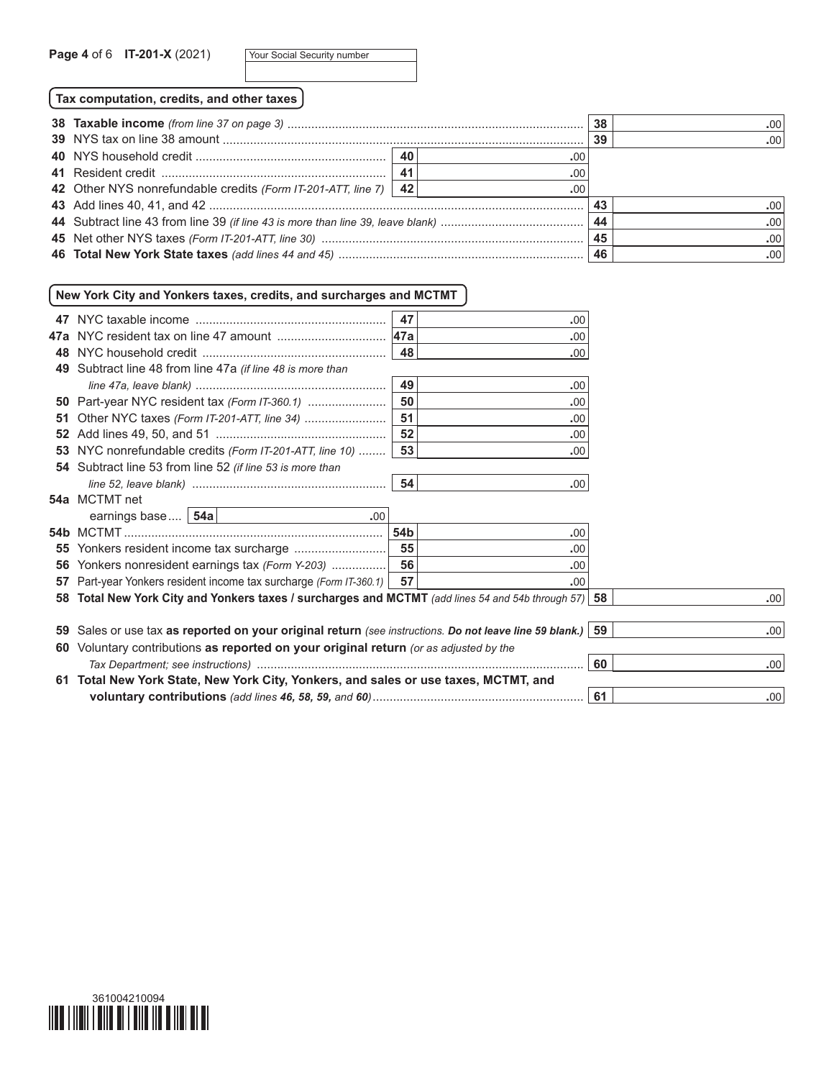|  | Your Social Security number |  |  |
|--|-----------------------------|--|--|
|--|-----------------------------|--|--|

**Tax computation, credits, and other taxes**

|                                                                   |     |     |     | .001 |
|-------------------------------------------------------------------|-----|-----|-----|------|
|                                                                   |     |     | -39 | .001 |
|                                                                   |     | .00 |     |      |
|                                                                   | -41 | .00 |     |      |
| 42 Other NYS nonrefundable credits (Form IT-201-ATT, line 7)   42 |     | .00 |     |      |
|                                                                   |     |     |     | -001 |
|                                                                   |     |     |     | .00  |
|                                                                   |     |     |     | .001 |
|                                                                   |     |     |     | .001 |

# **New York City and Yonkers taxes, credits, and surcharges and MCTMT**

|    |                                                                                                      | 47              | .00  |     |      |
|----|------------------------------------------------------------------------------------------------------|-----------------|------|-----|------|
|    |                                                                                                      | <b>47a</b>      | .00  |     |      |
|    |                                                                                                      | 48              | .00  |     |      |
|    | 49 Subtract line 48 from line 47a (if line 48 is more than                                           |                 |      |     |      |
|    |                                                                                                      | 49              | .00  |     |      |
|    | <b>50</b> Part-year NYC resident tax (Form IT-360.1)                                                 | 50              | .00  |     |      |
| 51 |                                                                                                      | 51              | .00  |     |      |
|    |                                                                                                      | 52              | .00  |     |      |
|    | 53 NYC nonrefundable credits (Form IT-201-ATT, line 10)                                              | 53              | .00  |     |      |
|    | 54 Subtract line 53 from line 52 (if line 53 is more than                                            |                 |      |     |      |
|    |                                                                                                      | 54              | .00. |     |      |
|    | 54a MCTMT net                                                                                        |                 |      |     |      |
|    | earnings base   54a  <br>.00                                                                         |                 |      |     |      |
|    |                                                                                                      | 54 <sub>b</sub> | .00  |     |      |
|    |                                                                                                      | 55              | .00  |     |      |
|    | 56 Yonkers nonresident earnings tax (Form Y-203)                                                     | 56              | .00  |     |      |
|    | 57 Part-year Yonkers resident income tax surcharge (Form IT-360.1)                                   | 57              | .00  |     |      |
|    | 58 Total New York City and Yonkers taxes / surcharges and MCTMT (add lines 54 and 54b through 57)    |                 |      | -58 | .00. |
|    |                                                                                                      |                 |      |     |      |
| 59 | Sales or use tax as reported on your original return (see instructions. Do not leave line 59 blank.) |                 |      | 59  | .00. |
|    | 60 Voluntary contributions as reported on your original return (or as adjusted by the                |                 |      |     |      |
|    |                                                                                                      |                 |      | 60  | .00. |
|    | 61 Total New York State, New York City, Yonkers, and sales or use taxes, MCTMT, and                  |                 |      |     |      |
|    |                                                                                                      |                 |      | 61  | .00. |

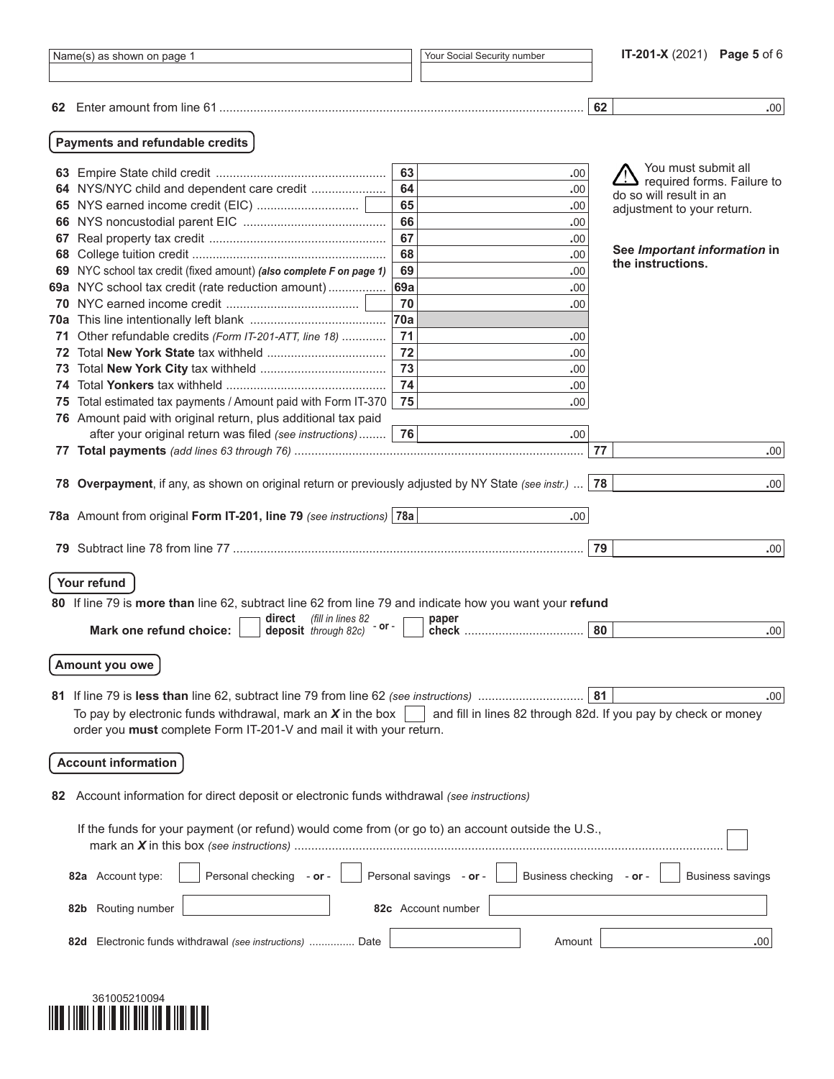| Name(s) as shown on page 1 |                                                                                                                                           |     | Your Social Security number                                    |    | IT-201-X (2021) Page 5 of 6                           |  |  |  |  |
|----------------------------|-------------------------------------------------------------------------------------------------------------------------------------------|-----|----------------------------------------------------------------|----|-------------------------------------------------------|--|--|--|--|
|                            |                                                                                                                                           |     |                                                                |    |                                                       |  |  |  |  |
|                            |                                                                                                                                           |     |                                                                | 62 | .00.                                                  |  |  |  |  |
|                            | Payments and refundable credits                                                                                                           |     |                                                                |    |                                                       |  |  |  |  |
|                            |                                                                                                                                           | 63  | .00                                                            |    | You must submit all                                   |  |  |  |  |
|                            | 64 NYS/NYC child and dependent care credit                                                                                                | 64  | .00                                                            |    | required forms. Failure to<br>do so will result in an |  |  |  |  |
|                            |                                                                                                                                           | 65  | .00                                                            |    | adjustment to your return.                            |  |  |  |  |
|                            |                                                                                                                                           | 66  | .00                                                            |    |                                                       |  |  |  |  |
| 67                         |                                                                                                                                           | 67  | .00                                                            |    |                                                       |  |  |  |  |
|                            |                                                                                                                                           | 68  | .00                                                            |    | See Important information in<br>the instructions.     |  |  |  |  |
|                            | 69 NYC school tax credit (fixed amount) (also complete F on page 1)                                                                       | 69  | .00                                                            |    |                                                       |  |  |  |  |
|                            | 69a NYC school tax credit (rate reduction amount)                                                                                         | 69a | .00                                                            |    |                                                       |  |  |  |  |
|                            |                                                                                                                                           | 70  | .00                                                            |    |                                                       |  |  |  |  |
|                            |                                                                                                                                           | 70a |                                                                |    |                                                       |  |  |  |  |
| 71.                        | Other refundable credits (Form IT-201-ATT, line 18)                                                                                       | 71  | .00                                                            |    |                                                       |  |  |  |  |
|                            |                                                                                                                                           | 72  | .00                                                            |    |                                                       |  |  |  |  |
| 73                         |                                                                                                                                           | 73  | .00                                                            |    |                                                       |  |  |  |  |
| 74                         |                                                                                                                                           | 74  | .00                                                            |    |                                                       |  |  |  |  |
| 75                         | Total estimated tax payments / Amount paid with Form IT-370                                                                               | 75  | .00                                                            |    |                                                       |  |  |  |  |
|                            | 76 Amount paid with original return, plus additional tax paid                                                                             |     |                                                                |    |                                                       |  |  |  |  |
|                            | after your original return was filed (see instructions)                                                                                   | 76  | .00                                                            | 77 |                                                       |  |  |  |  |
|                            |                                                                                                                                           |     |                                                                |    | .00.                                                  |  |  |  |  |
|                            | 78 Overpayment, if any, as shown on original return or previously adjusted by NY State (see instr.)                                       |     |                                                                | 78 | .00.                                                  |  |  |  |  |
|                            |                                                                                                                                           |     |                                                                |    |                                                       |  |  |  |  |
|                            | 78a Amount from original Form IT-201, line 79 (see instructions) 78a                                                                      |     | .00.                                                           |    |                                                       |  |  |  |  |
| 79.                        |                                                                                                                                           |     |                                                                | 79 | .00.                                                  |  |  |  |  |
|                            |                                                                                                                                           |     |                                                                |    |                                                       |  |  |  |  |
|                            | Your refund                                                                                                                               |     |                                                                |    |                                                       |  |  |  |  |
|                            | 80 If line 79 is more than line 62, subtract line 62 from line 79 and indicate how you want your refund                                   |     |                                                                |    |                                                       |  |  |  |  |
|                            | (fill in lines 82<br>direct<br>- or -                                                                                                     |     | paper                                                          |    |                                                       |  |  |  |  |
|                            | Mark one refund choice:<br>deposit through 82c)                                                                                           |     |                                                                | 80 | .00.                                                  |  |  |  |  |
|                            | Amount you owe                                                                                                                            |     |                                                                |    |                                                       |  |  |  |  |
|                            |                                                                                                                                           |     |                                                                |    |                                                       |  |  |  |  |
|                            |                                                                                                                                           |     |                                                                | 81 | .00.                                                  |  |  |  |  |
|                            | To pay by electronic funds withdrawal, mark an $X$ in the box                                                                             |     | and fill in lines 82 through 82d. If you pay by check or money |    |                                                       |  |  |  |  |
|                            | order you must complete Form IT-201-V and mail it with your return.                                                                       |     |                                                                |    |                                                       |  |  |  |  |
|                            |                                                                                                                                           |     |                                                                |    |                                                       |  |  |  |  |
|                            | <b>Account information</b>                                                                                                                |     |                                                                |    |                                                       |  |  |  |  |
| 82                         | Account information for direct deposit or electronic funds withdrawal (see instructions)                                                  |     |                                                                |    |                                                       |  |  |  |  |
|                            |                                                                                                                                           |     |                                                                |    |                                                       |  |  |  |  |
|                            | If the funds for your payment (or refund) would come from (or go to) an account outside the U.S.,                                         |     |                                                                |    |                                                       |  |  |  |  |
|                            | Personal savings - or -<br><b>Business checking</b><br>Personal checking - or -<br><b>Business savings</b><br>82a Account type:<br>– or – |     |                                                                |    |                                                       |  |  |  |  |
|                            | Routing number<br>82b                                                                                                                     |     | 82c Account number                                             |    |                                                       |  |  |  |  |
|                            | Electronic funds withdrawal (see instructions)  Date<br>82d                                                                               |     | Amount                                                         |    | .00                                                   |  |  |  |  |
|                            |                                                                                                                                           |     |                                                                |    |                                                       |  |  |  |  |